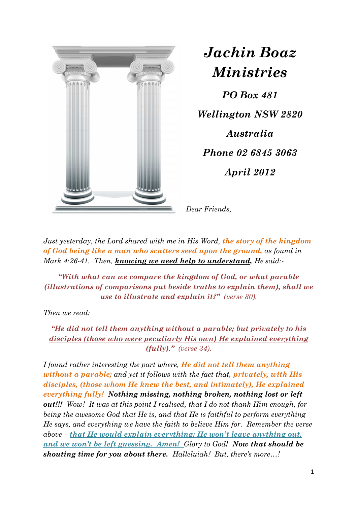

*Jachin Boaz Ministries*

*PO Box 481 Wellington NSW 2820 Australia Phone 02 6845 3063 April 2012* 

*Dear Friends,* 

*Just yesterday, the Lord shared with me in His Word, the story of the kingdom of God being like a man who scatters seed upon the ground, as found in Mark 4:26-41. Then, knowing we need help to understand, He said:-* 

*"With what can we compare the kingdom of God, or what parable (illustrations of comparisons put beside truths to explain them), shall we use to illustrate and explain it?" (verse 30).* 

*Then we read:* 

*"He did not tell them anything without a parable; but privately to his disciples (those who were peculiarly His own) He explained everything (fully)." (verse 34).* 

*I found rather interesting the part where, He did not tell them anything without a parable; and yet it follows with the fact that, privately, with His disciples, (those whom He knew the best, and intimately), He explained everything fully! Nothing missing, nothing broken, nothing lost or left out!!! Wow! It was at this point I realised, that I do not thank Him enough, for being the awesome God that He is, and that He is faithful to perform everything He says, and everything we have the faith to believe Him for. Remember the verse above – that He would explain everything; He won't leave anything out, and we won't be left guessing. Amen! Glory to God! Now that should be shouting time for you about there. Halleluiah! But, there's more…!*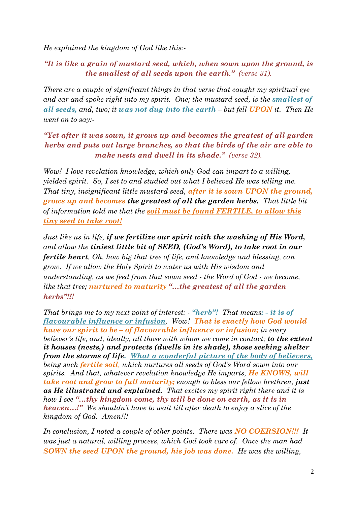*He explained the kingdom of God like this:-* 

*"It is like a grain of mustard seed, which, when sown upon the ground, is the smallest of all seeds upon the earth." (verse 31).* 

*There are a couple of significant things in that verse that caught my spiritual eye and ear and spoke right into my spirit. One; the mustard seed, is the <i>smallest of all seeds, and, two; it was not dug into the earth – but fell UPON it. Then He went on to say:-* 

## *"Yet after it was sown, it grows up and becomes the greatest of all garden herbs and puts out large branches, so that the birds of the air are able to make nests and dwell in its shade." (verse 32).*

*Wow! I love revelation knowledge, which only God can impart to a willing, yielded spirit. So, I set to and studied out what I believed He was telling me. That tiny, insignificant little mustard seed, after it is sown UPON the ground, grows up and becomes the greatest of all the garden herbs. That little bit of information told me that the soil must be found FERTILE, to allow this tiny seed to take root!* 

*Just like us in life, if we fertilize our spirit with the washing of His Word, and allow the tiniest little bit of SEED, (God's Word), to take root in our fertile heart, Oh, how big that tree of life, and knowledge and blessing, can grow. If we allow the Holy Spirit to water us with His wisdom and understanding, as we feed from that sown seed - the Word of God - we become, like that tree; nurtured to maturity "…the greatest of all the garden herbs"!!!*

*That brings me to my next point of interest: - "herb"! That means: - it is of flavourable influence or infusion. Wow! That is exactly how God would have our spirit to be – of flavourable influence or infusion; in every believer's life, and, ideally, all those with whom we come in contact; to the extent it houses (nests,) and protects (dwells in its shade), those seeking shelter from the storms of life. What a wonderful picture of the body of believers, being such fertile soil, which nurtures all seeds of God's Word sown into our spirits. And that, whatever revelation knowledge He imparts, He KNOWS, will take root and grow to full maturity; enough to bless our fellow brethren, just as He illustrated and explained. That excites my spirit right there and it is how I see "…thy kingdom come, thy will be done on earth, as it is in heaven…!" We shouldn't have to wait till after death to enjoy a slice of the kingdom of God. Amen!!!* 

*In conclusion, I noted a couple of other points. There was NO COERSION!!! It was just a natural, willing process, which God took care of. Once the man had SOWN the seed UPON the ground, his job was done. He was the willing,*